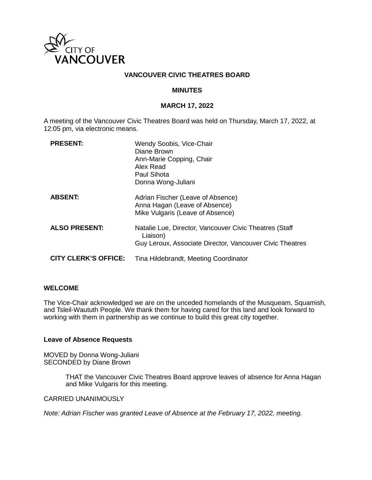

## **VANCOUVER CIVIC THEATRES BOARD**

#### **MINUTES**

#### **MARCH 17, 2022**

A meeting of the Vancouver Civic Theatres Board was held on Thursday, March 17, 2022, at 12:05 pm, via electronic means.

| <b>PRESENT:</b>             | Wendy Soobis, Vice-Chair<br>Diane Brown<br>Ann-Marie Copping, Chair<br>Alex Read<br><b>Paul Sihota</b><br>Donna Wong-Juliani   |
|-----------------------------|--------------------------------------------------------------------------------------------------------------------------------|
| <b>ABSENT:</b>              | Adrian Fischer (Leave of Absence)<br>Anna Hagan (Leave of Absence)<br>Mike Vulgaris (Leave of Absence)                         |
| <b>ALSO PRESENT:</b>        | Natalie Lue, Director, Vancouver Civic Theatres (Staff<br>Liaison)<br>Guy Leroux, Associate Director, Vancouver Civic Theatres |
| <b>CITY CLERK'S OFFICE:</b> | Tina Hildebrandt, Meeting Coordinator                                                                                          |

#### **WELCOME**

The Vice-Chair acknowledged we are on the unceded homelands of the Musqueam, Squamish, and Tsleil-Waututh People. We thank them for having cared for this land and look forward to working with them in partnership as we continue to build this great city together.

#### **Leave of Absence Requests**

MOVED by Donna Wong-Juliani SECONDED by Diane Brown

> THAT the Vancouver Civic Theatres Board approve leaves of absence for Anna Hagan and Mike Vulgaris for this meeting.

CARRIED UNANIMOUSLY

*Note: Adrian Fischer was granted Leave of Absence at the February 17, 2022, meeting.*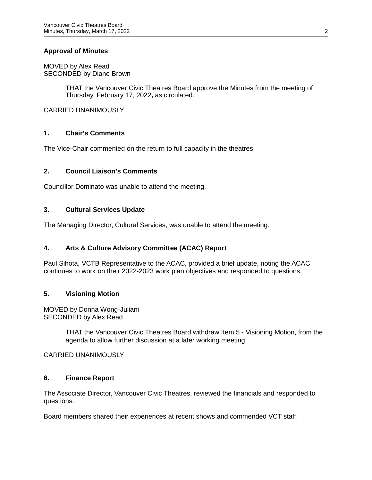## **Approval of Minutes**

MOVED by Alex Read SECONDED by Diane Brown

> THAT the Vancouver Civic Theatres Board approve the Minutes from the meeting of Thursday, February 17, 2022**,** as circulated.

CARRIED UNANIMOUSLY

## **1. Chair's Comments**

The Vice-Chair commented on the return to full capacity in the theatres.

## **2. Council Liaison's Comments**

Councillor Dominato was unable to attend the meeting.

#### **3. Cultural Services Update**

The Managing Director, Cultural Services, was unable to attend the meeting.

## **4. Arts & Culture Advisory Committee (ACAC) Report**

Paul Sihota, VCTB Representative to the ACAC, provided a brief update, noting the ACAC continues to work on their 2022-2023 work plan objectives and responded to questions.

## **5. Visioning Motion**

MOVED by Donna Wong-Juliani SECONDED by Alex Read

> THAT the Vancouver Civic Theatres Board withdraw Item 5 - Visioning Motion, from the agenda to allow further discussion at a later working meeting.

#### CARRIED UNANIMOUSLY

#### **6. Finance Report**

The Associate Director, Vancouver Civic Theatres, reviewed the financials and responded to questions.

Board members shared their experiences at recent shows and commended VCT staff.